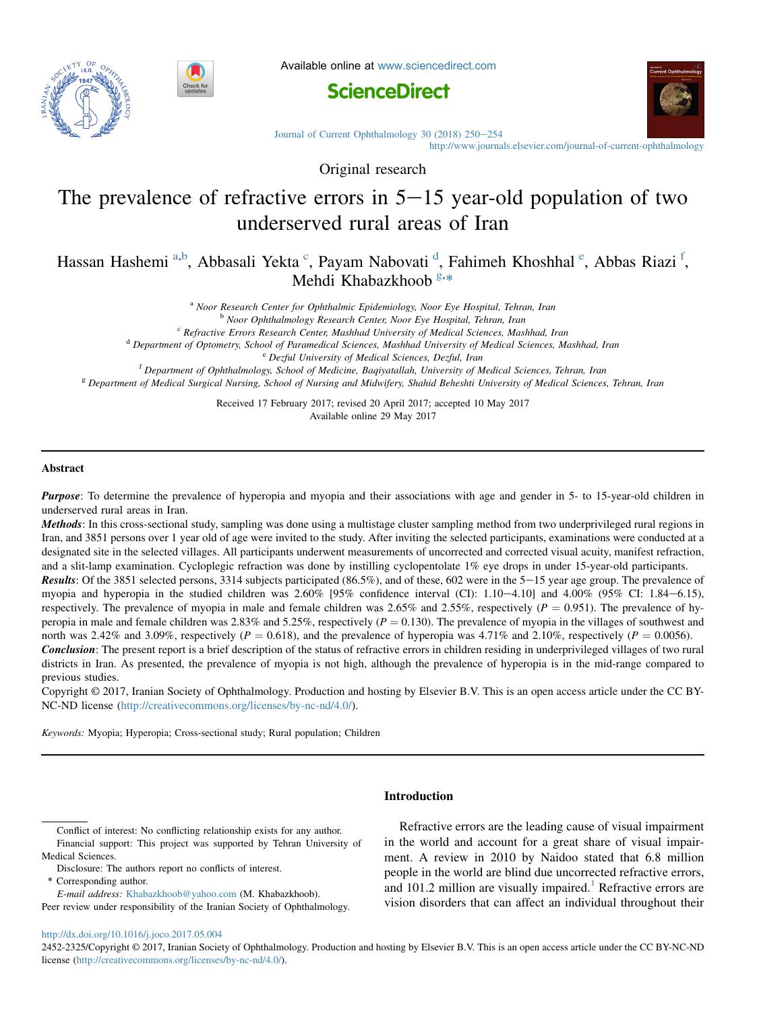



Available online at [www.sciencedirect.com](www.sciencedirect.com/science/journal/24522325)



Journal of Current Ophthalmology  $30$  (2018) 250-[254](http://dx.doi.org/10.1016/j.joco.2017.05.004) <http://www.journals.elsevier.com/journal-of-current-ophthalmology>

Original research

# The prevalence of refractive errors in  $5-15$  year-old population of two underserved rural areas of Iran

Hassan Hashemi <sup>a,b</sup>, Abbasali Yekta <sup>c</sup>, Payam Nabovati <sup>d</sup>, Fahimeh Khoshhal <sup>e</sup>, Abbas Riazi <sup>f</sup>, Mehdi Khabazkhoob<sup>g,\*</sup>

 $a<sup>a</sup>$  Noor Research Center for Ophthalmic Epidemiology, Noor Eye Hospital, Tehran, Iran

 $c$  Refractive Errors Research Center, Mashhad University of Medical Sciences, Mashhad, Iran

<sup>d</sup> Department of Optometry, School of Paramedical Sciences, Mashhad University of Medical Sciences, Mashhad, Iran

<sup>e</sup> Dezful University of Medical Sciences, Dezful, Iran

 $f$  Department of Ophthalmology, School of Medicine, Baqiyatallah, University of Medical Sciences, Tehran, Iran

<sup>g</sup> Department of Medical Surgical Nursing, School of Nursing and Midwifery, Shahid Beheshti University of Medical Sciences, Tehran, Iran

Received 17 February 2017; revised 20 April 2017; accepted 10 May 2017 Available online 29 May 2017

## Abstract

Purpose: To determine the prevalence of hyperopia and myopia and their associations with age and gender in 5- to 15-year-old children in underserved rural areas in Iran.

Methods: In this cross-sectional study, sampling was done using a multistage cluster sampling method from two underprivileged rural regions in Iran, and 3851 persons over 1 year old of age were invited to the study. After inviting the selected participants, examinations were conducted at a designated site in the selected villages. All participants underwent measurements of uncorrected and corrected visual acuity, manifest refraction, and a slit-lamp examination. Cycloplegic refraction was done by instilling cyclopentolate 1% eye drops in under 15-year-old participants.

**Results:** Of the 3851 selected persons, 3314 subjects participated (86.5%), and of these, 602 were in the  $5-15$  year age group. The prevalence of myopia and hyperopia in the studied children was  $2.60\%$  [95% confidence interval (CI):  $1.10-4.10$ ] and  $4.00\%$  (95% CI:  $1.84-6.15$ ), respectively. The prevalence of myopia in male and female children was 2.65% and 2.55%, respectively ( $P = 0.951$ ). The prevalence of hyperopia in male and female children was 2.83% and 5.25%, respectively  $(P = 0.130)$ . The prevalence of myopia in the villages of southwest and north was 2.42% and 3.09%, respectively ( $P = 0.618$ ), and the prevalence of hyperopia was 4.71% and 2.10%, respectively ( $P = 0.0056$ ).

Conclusion: The present report is a brief description of the status of refractive errors in children residing in underprivileged villages of two rural districts in Iran. As presented, the prevalence of myopia is not high, although the prevalence of hyperopia is in the mid-range compared to previous studies.

Copyright © 2017, Iranian Society of Ophthalmology. Production and hosting by Elsevier B.V. This is an open access article under the CC BY-NC-ND license (<http://creativecommons.org/licenses/by-nc-nd/4.0/>).

Keywords: Myopia; Hyperopia; Cross-sectional study; Rural population; Children

# Introduction

Conflict of interest: No conflicting relationship exists for any author. Financial support: This project was supported by Tehran University of Medical Sciences.

Corresponding author.

Refractive errors are the leading cause of visual impairment in the world and account for a great share of visual impairment. A review in 2010 by Naidoo stated that 6.8 million people in the world are blind due uncorrected refractive errors, and [1](#page-3-0)01.2 million are visually impaired.<sup>1</sup> Refractive errors are vision disorders that can affect an individual throughout their

<http://dx.doi.org/10.1016/j.joco.2017.05.004>

2452-2325/Copyright © 2017, Iranian Society of Ophthalmology. Production and hosting by Elsevier B.V. This is an open access article under the CC BY-NC-ND license [\(http://creativecommons.org/licenses/by-nc-nd/4.0/\)](http://creativecommons.org/licenses/by-nc-nd/4.0/).

<sup>&</sup>lt;sup>b</sup> Noor Ophthalmology Research Center, Noor Eye Hospital, Tehran, Iran

Disclosure: The authors report no conflicts of interest.

E-mail address: [Khabazkhoob@yahoo.com](mailto:Khabazkhoob@yahoo.com) (M. Khabazkhoob). Peer review under responsibility of the Iranian Society of Ophthalmology.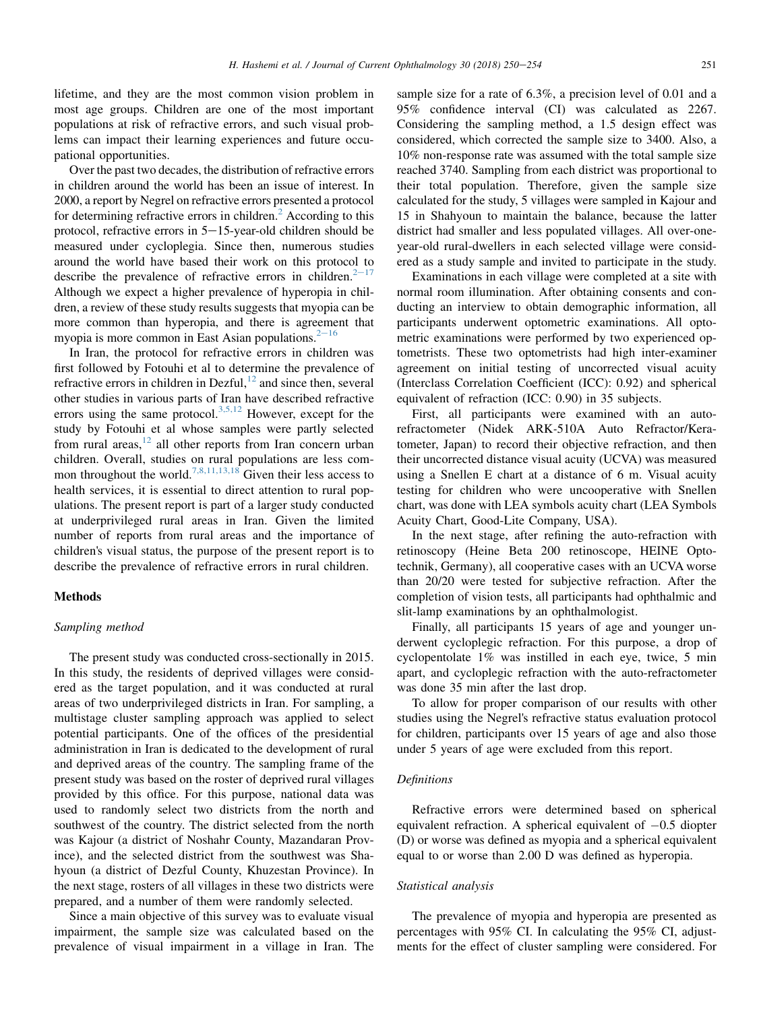lifetime, and they are the most common vision problem in most age groups. Children are one of the most important populations at risk of refractive errors, and such visual problems can impact their learning experiences and future occupational opportunities.

Over the past two decades, the distribution of refractive errors in children around the world has been an issue of interest. In 2000, a report by Negrel on refractive errors presented a protocol for determining refractive errors in children. $<sup>2</sup>$  According to this</sup> protocol, refractive errors in  $5-15$ -year-old children should be measured under cycloplegia. Since then, numerous studies around the world have based their work on this protocol to describe the prevalence of refractive errors in children. $2^{-17}$  $2^{-17}$  $2^{-17}$  $2^{-17}$ Although we expect a higher prevalence of hyperopia in children, a review of these study results suggests that myopia can be more common than hyperopia, and there is agreement that myopia is more common in East Asian populations. $2^{-16}$  $2^{-16}$  $2^{-16}$ 

In Iran, the protocol for refractive errors in children was first followed by Fotouhi et al to determine the prevalence of refractive errors in children in Dezful, $12$  and since then, several other studies in various parts of Iran have described refractive errors using the same protocol.<sup>[3,5,12](#page-3-0)</sup> However, except for the study by Fotouhi et al whose samples were partly selected from rural areas, $12$  all other reports from Iran concern urban children. Overall, studies on rural populations are less com-mon throughout the world.<sup>[7,8,11,13,18](#page-3-0)</sup> Given their less access to health services, it is essential to direct attention to rural populations. The present report is part of a larger study conducted at underprivileged rural areas in Iran. Given the limited number of reports from rural areas and the importance of children's visual status, the purpose of the present report is to describe the prevalence of refractive errors in rural children.

# Methods

#### Sampling method

The present study was conducted cross-sectionally in 2015. In this study, the residents of deprived villages were considered as the target population, and it was conducted at rural areas of two underprivileged districts in Iran. For sampling, a multistage cluster sampling approach was applied to select potential participants. One of the offices of the presidential administration in Iran is dedicated to the development of rural and deprived areas of the country. The sampling frame of the present study was based on the roster of deprived rural villages provided by this office. For this purpose, national data was used to randomly select two districts from the north and southwest of the country. The district selected from the north was Kajour (a district of Noshahr County, Mazandaran Province), and the selected district from the southwest was Shahyoun (a district of Dezful County, Khuzestan Province). In the next stage, rosters of all villages in these two districts were prepared, and a number of them were randomly selected.

Since a main objective of this survey was to evaluate visual impairment, the sample size was calculated based on the prevalence of visual impairment in a village in Iran. The sample size for a rate of 6.3%, a precision level of 0.01 and a 95% confidence interval (CI) was calculated as 2267. Considering the sampling method, a 1.5 design effect was considered, which corrected the sample size to 3400. Also, a 10% non-response rate was assumed with the total sample size reached 3740. Sampling from each district was proportional to their total population. Therefore, given the sample size calculated for the study, 5 villages were sampled in Kajour and 15 in Shahyoun to maintain the balance, because the latter district had smaller and less populated villages. All over-oneyear-old rural-dwellers in each selected village were considered as a study sample and invited to participate in the study.

Examinations in each village were completed at a site with normal room illumination. After obtaining consents and conducting an interview to obtain demographic information, all participants underwent optometric examinations. All optometric examinations were performed by two experienced optometrists. These two optometrists had high inter-examiner agreement on initial testing of uncorrected visual acuity (Interclass Correlation Coefficient (ICC): 0.92) and spherical equivalent of refraction (ICC: 0.90) in 35 subjects.

First, all participants were examined with an autorefractometer (Nidek ARK-510A Auto Refractor/Keratometer, Japan) to record their objective refraction, and then their uncorrected distance visual acuity (UCVA) was measured using a Snellen E chart at a distance of 6 m. Visual acuity testing for children who were uncooperative with Snellen chart, was done with LEA symbols acuity chart (LEA Symbols Acuity Chart, Good-Lite Company, USA).

In the next stage, after refining the auto-refraction with retinoscopy (Heine Beta 200 retinoscope, HEINE Optotechnik, Germany), all cooperative cases with an UCVA worse than 20/20 were tested for subjective refraction. After the completion of vision tests, all participants had ophthalmic and slit-lamp examinations by an ophthalmologist.

Finally, all participants 15 years of age and younger underwent cycloplegic refraction. For this purpose, a drop of cyclopentolate 1% was instilled in each eye, twice, 5 min apart, and cycloplegic refraction with the auto-refractometer was done 35 min after the last drop.

To allow for proper comparison of our results with other studies using the Negrel's refractive status evaluation protocol for children, participants over 15 years of age and also those under 5 years of age were excluded from this report.

# **Definitions**

Refractive errors were determined based on spherical equivalent refraction. A spherical equivalent of  $-0.5$  diopter (D) or worse was defined as myopia and a spherical equivalent equal to or worse than 2.00 D was defined as hyperopia.

### Statistical analysis

The prevalence of myopia and hyperopia are presented as percentages with 95% CI. In calculating the 95% CI, adjustments for the effect of cluster sampling were considered. For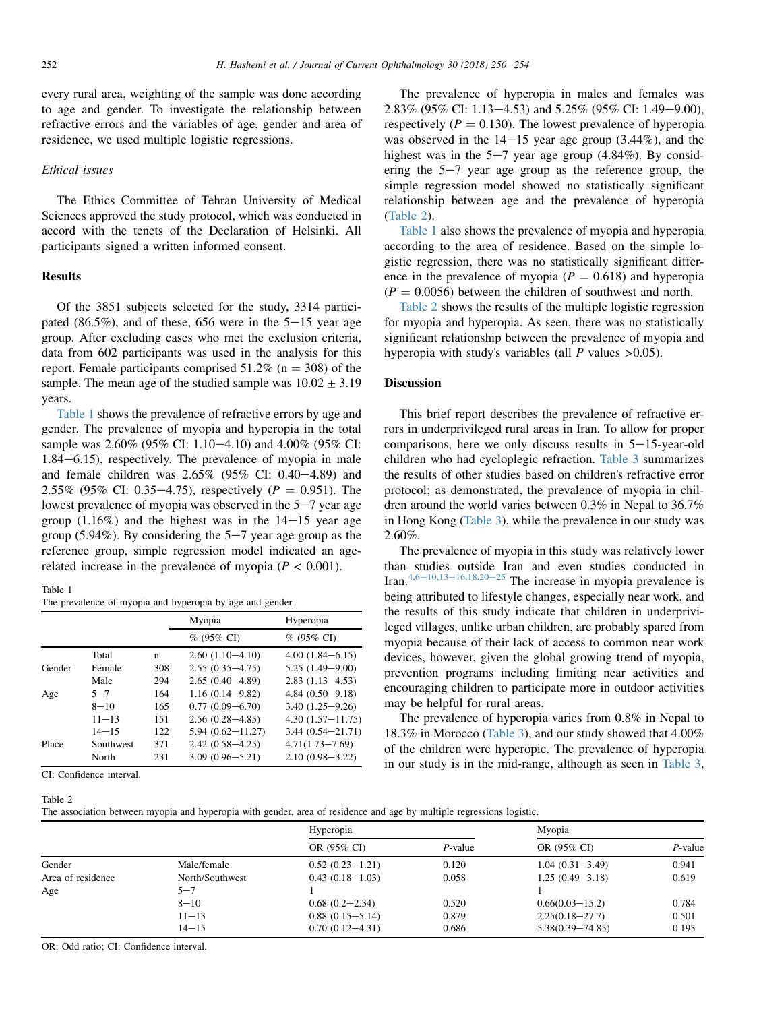every rural area, weighting of the sample was done according to age and gender. To investigate the relationship between refractive errors and the variables of age, gender and area of residence, we used multiple logistic regressions.

# Ethical issues

The Ethics Committee of Tehran University of Medical Sciences approved the study protocol, which was conducted in accord with the tenets of the Declaration of Helsinki. All participants signed a written informed consent.

## Results

Of the 3851 subjects selected for the study, 3314 participated (86.5%), and of these, 656 were in the  $5-15$  year age group. After excluding cases who met the exclusion criteria, data from 602 participants was used in the analysis for this report. Female participants comprised  $51.2\%$  (n = 308) of the sample. The mean age of the studied sample was  $10.02 \pm 3.19$ years.

Table 1 shows the prevalence of refractive errors by age and gender. The prevalence of myopia and hyperopia in the total sample was 2.60% (95% CI: 1.10-4.10) and 4.00% (95% CI:  $1.84-6.15$ ), respectively. The prevalence of myopia in male and female children was  $2.65\%$  (95% CI: 0.40–4.89) and 2.55% (95% CI: 0.35–4.75), respectively ( $P = 0.951$ ). The lowest prevalence of myopia was observed in the  $5-7$  year age group  $(1.16\%)$  and the highest was in the  $14-15$  year age group (5.94%). By considering the  $5-7$  year age group as the reference group, simple regression model indicated an agerelated increase in the prevalence of myopia ( $P < 0.001$ ).

#### Table 1

The prevalence of myopia and hyperopia by age and gender.

|        |           |     | Myopia               | Hyperopia            |
|--------|-----------|-----|----------------------|----------------------|
|        |           |     | $% (95\% CI)$        | $% (95\% CI)$        |
|        | Total     | n   | $2.60(1.10-4.10)$    | $4.00(1.84 - 6.15)$  |
| Gender | Female    | 308 | $2.55(0.35 - 4.75)$  | $5.25(1.49 - 9.00)$  |
|        | Male      | 294 | $2.65(0.40-4.89)$    | $2.83(1.13 - 4.53)$  |
| Age    | $5 - 7$   | 164 | $1.16(0.14 - 9.82)$  | $4.84(0.50 - 9.18)$  |
|        | $8 - 10$  | 165 | $0.77(0.09 - 6.70)$  | $3.40(1.25 - 9.26)$  |
|        | $11 - 13$ | 151 | $2.56(0.28 - 4.85)$  | $4.30(1.57 - 11.75)$ |
|        | $14 - 15$ | 122 | $5.94(0.62 - 11.27)$ | $3.44(0.54 - 21.71)$ |
| Place  | Southwest | 371 | $2.42(0.58 - 4.25)$  | $4.71(1.73 - 7.69)$  |
|        | North     | 231 | $3.09(0.96 - 5.21)$  | $2.10(0.98 - 3.22)$  |

CI: Confidence interval.

#### Table 2

The association between myopia and hyperopia with gender, area of residence and age by multiple regressions logistic.

|                   |                 | Hyperopia           |            | Myopia               |         |
|-------------------|-----------------|---------------------|------------|----------------------|---------|
|                   |                 | OR (95% CI)         | $P$ -value | OR (95% CI)          | P-value |
| Gender            | Male/female     | $0.52(0.23 - 1.21)$ | 0.120      | $1.04(0.31 - 3.49)$  | 0.941   |
| Area of residence | North/Southwest | $0.43(0.18-1.03)$   | 0.058      | $1.25(0.49-3.18)$    | 0.619   |
| Age               | $5 - 7$         |                     |            |                      |         |
|                   | $8 - 10$        | $0.68(0.2 - 2.34)$  | 0.520      | $0.66(0.03 - 15.2)$  | 0.784   |
|                   | $11 - 13$       | $0.88(0.15 - 5.14)$ | 0.879      | $2.25(0.18 - 27.7)$  | 0.501   |
|                   | $14 - 15$       | $0.70(0.12 - 4.31)$ | 0.686      | $5.38(0.39 - 74.85)$ | 0.193   |

OR: Odd ratio; CI: Confidence interval.

The prevalence of hyperopia in males and females was 2.83% (95% CI: 1.13–4.53) and 5.25% (95% CI: 1.49–9.00), respectively ( $P = 0.130$ ). The lowest prevalence of hyperopia was observed in the  $14-15$  year age group (3.44%), and the highest was in the  $5-7$  year age group (4.84%). By considering the  $5-7$  year age group as the reference group, the simple regression model showed no statistically significant relationship between age and the prevalence of hyperopia (Table 2).

Table 1 also shows the prevalence of myopia and hyperopia according to the area of residence. Based on the simple logistic regression, there was no statistically significant difference in the prevalence of myopia ( $P = 0.618$ ) and hyperopia  $(P = 0.0056)$  between the children of southwest and north.

Table 2 shows the results of the multiple logistic regression for myopia and hyperopia. As seen, there was no statistically significant relationship between the prevalence of myopia and hyperopia with study's variables (all  $P$  values  $>0.05$ ).

## **Discussion**

This brief report describes the prevalence of refractive errors in underprivileged rural areas in Iran. To allow for proper comparisons, here we only discuss results in  $5-15$ -year-old children who had cycloplegic refraction. [Table 3](#page-3-0) summarizes the results of other studies based on children's refractive error protocol; as demonstrated, the prevalence of myopia in children around the world varies between 0.3% in Nepal to 36.7% in Hong Kong [\(Table 3\)](#page-3-0), while the prevalence in our study was 2.60%.

The prevalence of myopia in this study was relatively lower than studies outside Iran and even studies conducted in Iran.<sup>[4,6](#page-3-0)-[10,13](#page-3-0)-[16,18,20](#page-3-0)-[25](#page-3-0)</sup> The increase in myopia prevalence is being attributed to lifestyle changes, especially near work, and the results of this study indicate that children in underprivileged villages, unlike urban children, are probably spared from myopia because of their lack of access to common near work devices, however, given the global growing trend of myopia, prevention programs including limiting near activities and encouraging children to participate more in outdoor activities may be helpful for rural areas.

The prevalence of hyperopia varies from 0.8% in Nepal to 18.3% in Morocco [\(Table 3\)](#page-3-0), and our study showed that 4.00% of the children were hyperopic. The prevalence of hyperopia in our study is in the mid-range, although as seen in [Table 3](#page-3-0),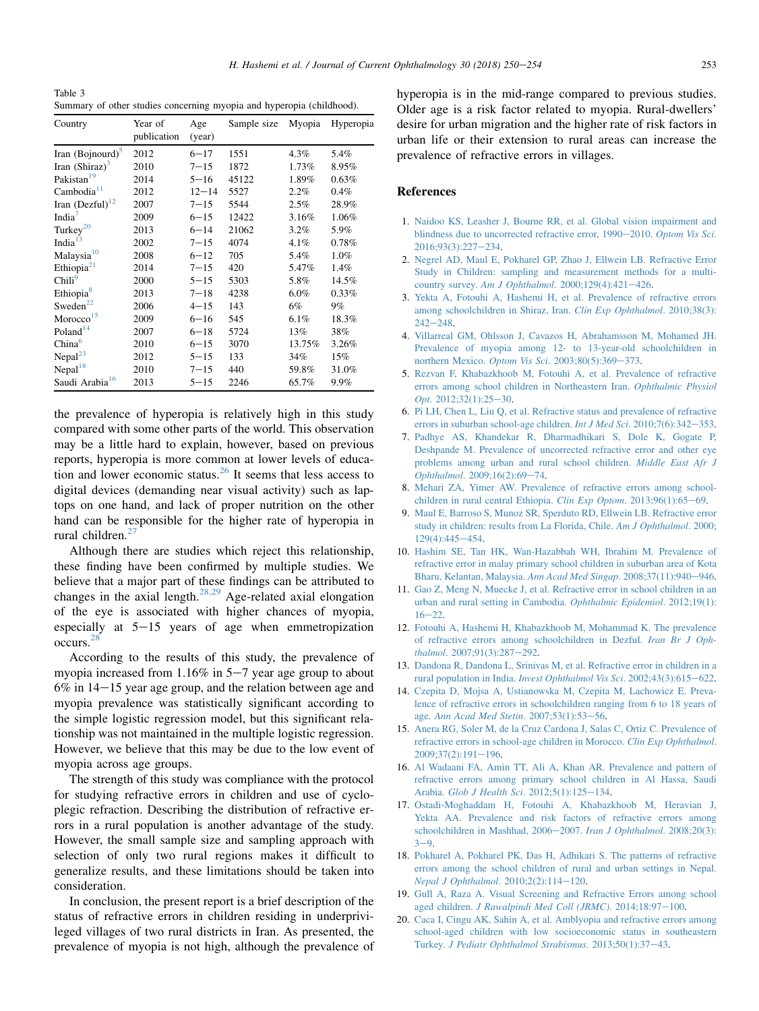<span id="page-3-0"></span>Table 3 Summary of other studies concerning myopia and hyperopia (childhood).

| Country                    | Year of<br>publication | Age<br>(year) | Sample size | Myopia  | Hyperopia |
|----------------------------|------------------------|---------------|-------------|---------|-----------|
| Iran $(Bojnourd)5$         | 2012                   | $6 - 17$      | 1551        | 4.3%    | 5.4%      |
| Iran $(Shiraz)^3$          | 2010                   | $7 - 15$      | 1872        | 1.73%   | 8.95%     |
| Pakistan <sup>19</sup>     | 2014                   | $5 - 16$      | 45122       | 1.89%   | 0.63%     |
| Cambodia <sup>11</sup>     | 2012                   | $12 - 14$     | 5527        | 2.2%    | 0.4%      |
| Iran $(Dezful)^{12}$       | 2007                   | $7 - 15$      | 5544        | 2.5%    | 28.9%     |
| India <sup>7</sup>         | 2009                   | $6 - 15$      | 12422       | 3.16%   | 1.06%     |
| Turkey <sup>20</sup>       | 2013                   | $6 - 14$      | 21062       | 3.2%    | 5.9%      |
| India <sup>13</sup>        | 2002                   | $7 - 15$      | 4074        | 4.1%    | 0.78%     |
| Malaysia <sup>10</sup>     | 2008                   | $6 - 12$      | 705         | 5.4%    | 1.0%      |
| Ethiopia <sup>21</sup>     | 2014                   | $7 - 15$      | 420         | 5.47%   | 1.4%      |
| Chili <sup>9</sup>         | 2000                   | $5 - 15$      | 5303        | 5.8%    | 14.5%     |
| Ethiopia <sup>8</sup>      | 2013                   | $7 - 18$      | 4238        | $6.0\%$ | 0.33%     |
| Sweden $^{22}$             | 2006                   | $4 - 15$      | 143         | 6%      | $9\%$     |
| Morocco <sup>15</sup>      | 2009                   | $6 - 16$      | 545         | 6.1%    | 18.3%     |
| Poland <sup>14</sup>       | 2007                   | $6 - 18$      | 5724        | 13%     | 38%       |
| China <sup>6</sup>         | 2010                   | $6 - 15$      | 3070        | 13.75%  | 3.26%     |
| Nepal <sup>23</sup>        | 2012                   | $5 - 15$      | 133         | 34%     | 15%       |
| Nepal <sup>18</sup>        | 2010                   | $7 - 15$      | 440         | 59.8%   | 31.0%     |
| Saudi Arabia <sup>16</sup> | 2013                   | $5 - 15$      | 2246        | 65.7%   | 9.9%      |

the prevalence of hyperopia is relatively high in this study compared with some other parts of the world. This observation may be a little hard to explain, however, based on previous reports, hyperopia is more common at lower levels of educa-tion and lower economic status.<sup>[26](#page-4-0)</sup> It seems that less access to digital devices (demanding near visual activity) such as laptops on one hand, and lack of proper nutrition on the other hand can be responsible for the higher rate of hyperopia in rural children.<sup>[27](#page-4-0)</sup>

Although there are studies which reject this relationship, these finding have been confirmed by multiple studies. We believe that a major part of these findings can be attributed to changes in the axial length.<sup>[28,29](#page-4-0)</sup> Age-related axial elongation of the eye is associated with higher chances of myopia, especially at  $5-15$  years of age when emmetropization occurs.[28](#page-4-0)

According to the results of this study, the prevalence of myopia increased from  $1.16\%$  in  $5-7$  year age group to about  $6\%$  in 14–15 year age group, and the relation between age and myopia prevalence was statistically significant according to the simple logistic regression model, but this significant relationship was not maintained in the multiple logistic regression. However, we believe that this may be due to the low event of myopia across age groups.

The strength of this study was compliance with the protocol for studying refractive errors in children and use of cycloplegic refraction. Describing the distribution of refractive errors in a rural population is another advantage of the study. However, the small sample size and sampling approach with selection of only two rural regions makes it difficult to generalize results, and these limitations should be taken into consideration.

In conclusion, the present report is a brief description of the status of refractive errors in children residing in underprivileged villages of two rural districts in Iran. As presented, the prevalence of myopia is not high, although the prevalence of

hyperopia is in the mid-range compared to previous studies. hyperopia is in the mid-range compared to previous studies.<br>Older age is a risk factor related to myopia. Rural-dwellers' desire for urban migration and the higher rate of risk factors in urban life or their extension to rural areas can increase the prevalence of refractive errors in villages.

# References

- 1. [Naidoo KS, Leasher J, Bourne RR, et al. Global vision impairment and](http://refhub.elsevier.com/S2452-2325(17)30049-5/sref1) [blindness due to uncorrected refractive error, 1990](http://refhub.elsevier.com/S2452-2325(17)30049-5/sref1)-2010. [Optom Vis Sci](http://refhub.elsevier.com/S2452-2325(17)30049-5/sref1).  $2016:93(3):227-234.$  $2016:93(3):227-234.$
- 2. [Negrel AD, Maul E, Pokharel GP, Zhao J, Ellwein LB. Refractive Error](http://refhub.elsevier.com/S2452-2325(17)30049-5/sref2) [Study in Children: sampling and measurement methods for a multi](http://refhub.elsevier.com/S2452-2325(17)30049-5/sref2)country survey. Am J Ophthalmol.  $2000;129(4):421-426$  $2000;129(4):421-426$ .
- 3. [Yekta A, Fotouhi A, Hashemi H, et al. Prevalence of refractive errors](http://refhub.elsevier.com/S2452-2325(17)30049-5/sref3) [among schoolchildren in Shiraz, Iran.](http://refhub.elsevier.com/S2452-2325(17)30049-5/sref3) Clin Exp Ophthalmol. 2010;38(3):  $242 - 248.$  $242 - 248.$  $242 - 248.$  $242 - 248.$
- 4. [Villarreal GM, Ohlsson J, Cavazos H, Abrahamsson M, Mohamed JH.](http://refhub.elsevier.com/S2452-2325(17)30049-5/sref4) [Prevalence of myopia among 12- to 13-year-old schoolchildren in](http://refhub.elsevier.com/S2452-2325(17)30049-5/sref4) [northern Mexico.](http://refhub.elsevier.com/S2452-2325(17)30049-5/sref4) Optom Vis Sci. 2003;80(5):369-[373](http://refhub.elsevier.com/S2452-2325(17)30049-5/sref4).
- 5. [Rezvan F, Khabazkhoob M, Fotouhi A, et al. Prevalence of refractive](http://refhub.elsevier.com/S2452-2325(17)30049-5/sref5) [errors among school children in Northeastern Iran.](http://refhub.elsevier.com/S2452-2325(17)30049-5/sref5) Ophthalmic Physiol  $Opt. 2012:32(1):25-30.$  $Opt. 2012:32(1):25-30.$  $Opt. 2012:32(1):25-30.$
- 6. [Pi LH, Chen L, Liu Q, et al. Refractive status and prevalence of refractive](http://refhub.elsevier.com/S2452-2325(17)30049-5/sref6) [errors in suburban school-age children.](http://refhub.elsevier.com/S2452-2325(17)30049-5/sref6) Int J Med Sci. 2010;7(6):342-[353.](http://refhub.elsevier.com/S2452-2325(17)30049-5/sref6)
- 7. [Padhye AS, Khandekar R, Dharmadhikari S, Dole K, Gogate P,](http://refhub.elsevier.com/S2452-2325(17)30049-5/sref7) [Deshpande M. Prevalence of uncorrected refractive error and other eye](http://refhub.elsevier.com/S2452-2325(17)30049-5/sref7) [problems among urban and rural school children.](http://refhub.elsevier.com/S2452-2325(17)30049-5/sref7) Middle East Afr J Ophthalmol[. 2009;16\(2\):69](http://refhub.elsevier.com/S2452-2325(17)30049-5/sref7)-[74.](http://refhub.elsevier.com/S2452-2325(17)30049-5/sref7)
- 8. [Mehari ZA, Yimer AW. Prevalence of refractive errors among school](http://refhub.elsevier.com/S2452-2325(17)30049-5/sref8)[children in rural central Ethiopia.](http://refhub.elsevier.com/S2452-2325(17)30049-5/sref8) Clin Exp Optom. 2013;96(1):65-[69](http://refhub.elsevier.com/S2452-2325(17)30049-5/sref8).
- 9. [Maul E, Barroso S, Munoz SR, Sperduto RD, Ellwein LB. Refractive error](http://refhub.elsevier.com/S2452-2325(17)30049-5/sref9) [study in children: results from La Florida, Chile.](http://refhub.elsevier.com/S2452-2325(17)30049-5/sref9) Am J Ophthalmol. 2000; [129\(4\):445](http://refhub.elsevier.com/S2452-2325(17)30049-5/sref9)-[454.](http://refhub.elsevier.com/S2452-2325(17)30049-5/sref9)
- 10. [Hashim SE, Tan HK, Wan-Hazabbah WH, Ibrahim M. Prevalence of](http://refhub.elsevier.com/S2452-2325(17)30049-5/sref10) [refractive error in malay primary school children in suburban area of Kota](http://refhub.elsevier.com/S2452-2325(17)30049-5/sref10) [Bharu, Kelantan, Malaysia.](http://refhub.elsevier.com/S2452-2325(17)30049-5/sref10) Ann Acad Med Singap. 2008;37(11):940-[946.](http://refhub.elsevier.com/S2452-2325(17)30049-5/sref10)
- 11. [Gao Z, Meng N, Muecke J, et al. Refractive error in school children in an](http://refhub.elsevier.com/S2452-2325(17)30049-5/sref11) [urban and rural setting in Cambodia.](http://refhub.elsevier.com/S2452-2325(17)30049-5/sref11) Ophthalmic Epidemiol. 2012;19(1):  $16 - 22$  $16 - 22$  $16 - 22$ .
- 12. [Fotouhi A, Hashemi H, Khabazkhoob M, Mohammad K. The prevalence](http://refhub.elsevier.com/S2452-2325(17)30049-5/sref12) [of refractive errors among schoolchildren in Dezful.](http://refhub.elsevier.com/S2452-2325(17)30049-5/sref12) Iran Br J Oph-thalmol[. 2007;91\(3\):287](http://refhub.elsevier.com/S2452-2325(17)30049-5/sref12)-[292.](http://refhub.elsevier.com/S2452-2325(17)30049-5/sref12)
- 13. [Dandona R, Dandona L, Srinivas M, et al. Refractive error in children in a](http://refhub.elsevier.com/S2452-2325(17)30049-5/sref13) rural population in India. *[Invest Ophthalmol Vis Sci](http://refhub.elsevier.com/S2452-2325(17)30049-5/sref13).* 2002;43(3):615-[622.](http://refhub.elsevier.com/S2452-2325(17)30049-5/sref13)
- 14. [Czepita D, Mojsa A, Ustianowska M, Czepita M, Lachowicz E. Preva](http://refhub.elsevier.com/S2452-2325(17)30049-5/sref14)[lence of refractive errors in schoolchildren ranging from 6 to 18 years of](http://refhub.elsevier.com/S2452-2325(17)30049-5/sref14) age. [Ann Acad Med Stetin](http://refhub.elsevier.com/S2452-2325(17)30049-5/sref14). 2007;53(1):53-[56.](http://refhub.elsevier.com/S2452-2325(17)30049-5/sref14)
- 15. [Anera RG, Soler M, de la Cruz Cardona J, Salas C, Ortiz C. Prevalence of](http://refhub.elsevier.com/S2452-2325(17)30049-5/sref15) [refractive errors in school-age children in Morocco.](http://refhub.elsevier.com/S2452-2325(17)30049-5/sref15) Clin Exp Ophthalmol.  $2009:37(2):191-196.$  $2009:37(2):191-196.$
- 16. [Al Wadaani FA, Amin TT, Ali A, Khan AR. Prevalence and pattern of](http://refhub.elsevier.com/S2452-2325(17)30049-5/sref16) [refractive errors among primary school children in Al Hassa, Saudi](http://refhub.elsevier.com/S2452-2325(17)30049-5/sref16) Arabia. [Glob J Health Sci](http://refhub.elsevier.com/S2452-2325(17)30049-5/sref16). 2012;5(1):125-[134.](http://refhub.elsevier.com/S2452-2325(17)30049-5/sref16)
- 17. [Ostadi-Moghaddam H, Fotouhi A, Khabazkhoob M, Heravian J,](http://refhub.elsevier.com/S2452-2325(17)30049-5/sref17) [Yekta AA. Prevalence and risk factors of refractive errors among](http://refhub.elsevier.com/S2452-2325(17)30049-5/sref17) [schoolchildren in Mashhad, 2006](http://refhub.elsevier.com/S2452-2325(17)30049-5/sref17)-2007. [Iran J Ophthalmol](http://refhub.elsevier.com/S2452-2325(17)30049-5/sref17). 2008;20(3):  $3 - 9.$  $3 - 9.$  $3 - 9.$  $3 - 9.$
- 18. [Pokharel A, Pokharel PK, Das H, Adhikari S. The patterns of refractive](http://refhub.elsevier.com/S2452-2325(17)30049-5/sref18) [errors among the school children of rural and urban settings in Nepal.](http://refhub.elsevier.com/S2452-2325(17)30049-5/sref18) [Nepal J Ophthalmol](http://refhub.elsevier.com/S2452-2325(17)30049-5/sref18). 2010;2(2):114-[120](http://refhub.elsevier.com/S2452-2325(17)30049-5/sref18).
- 19. [Gull A, Raza A. Visual Screening and Refractive Errors among school](http://refhub.elsevier.com/S2452-2325(17)30049-5/sref19) aged children. [J Rawalpindi Med Coll \(JRMC\)](http://refhub.elsevier.com/S2452-2325(17)30049-5/sref19).  $2014;18:97-100$  $2014;18:97-100$ .
- 20. [Caca I, Cingu AK, Sahin A, et al. Amblyopia and refractive errors among](http://refhub.elsevier.com/S2452-2325(17)30049-5/sref20) [school-aged children with low socioeconomic status in southeastern](http://refhub.elsevier.com/S2452-2325(17)30049-5/sref20) Turkey. [J Pediatr Ophthalmol Strabismus](http://refhub.elsevier.com/S2452-2325(17)30049-5/sref20). 2013;50(1):37-[43](http://refhub.elsevier.com/S2452-2325(17)30049-5/sref20).